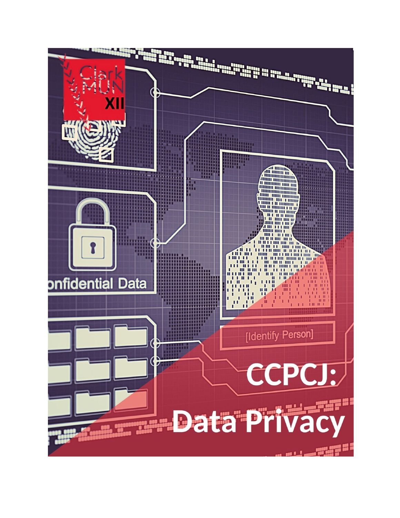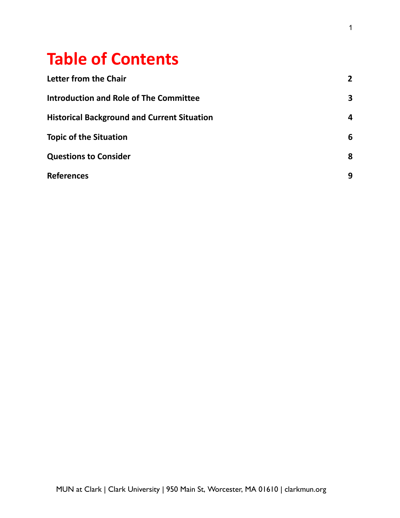# **Table of Contents**

| <b>Letter from the Chair</b>                       | $\mathbf{2}$ |
|----------------------------------------------------|--------------|
| <b>Introduction and Role of The Committee</b>      | 3            |
| <b>Historical Background and Current Situation</b> | 4            |
| <b>Topic of the Situation</b>                      | 6            |
| <b>Questions to Consider</b>                       | 8            |
| <b>References</b>                                  | 9            |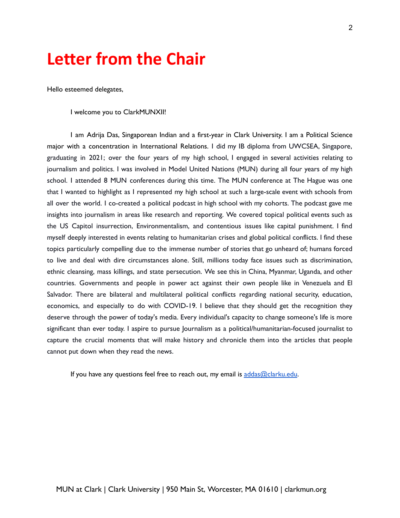# **Letter from the Chair**

Hello esteemed delegates,

I welcome you to ClarkMUNXII!

I am Adrija Das, Singaporean Indian and a first-year in Clark University. I am a Political Science major with a concentration in International Relations. I did my IB diploma from UWCSEA, Singapore, graduating in 2021; over the four years of my high school, I engaged in several activities relating to journalism and politics. I was involved in Model United Nations (MUN) during all four years of my high school. I attended 8 MUN conferences during this time. The MUN conference at The Hague was one that I wanted to highlight as I represented my high school at such a large-scale event with schools from all over the world. I co-created a political podcast in high school with my cohorts. The podcast gave me insights into journalism in areas like research and reporting. We covered topical political events such as the US Capitol insurrection, Environmentalism, and contentious issues like capital punishment. I find myself deeply interested in events relating to humanitarian crises and global political conflicts. I find these topics particularly compelling due to the immense number of stories that go unheard of; humans forced to live and deal with dire circumstances alone. Still, millions today face issues such as discrimination, ethnic cleansing, mass killings, and state persecution. We see this in China, Myanmar, Uganda, and other countries. Governments and people in power act against their own people like in Venezuela and El Salvador. There are bilateral and multilateral political conflicts regarding national security, education, economics, and especially to do with COVID-19. I believe that they should get the recognition they deserve through the power of today's media. Every individual's capacity to change someone's life is more significant than ever today. I aspire to pursue Journalism as a political/humanitarian-focused journalist to capture the crucial moments that will make history and chronicle them into the articles that people cannot put down when they read the news.

If you have any questions feel free to reach out, my email is [addas@clarku.edu](mailto:addas@clarku.edu).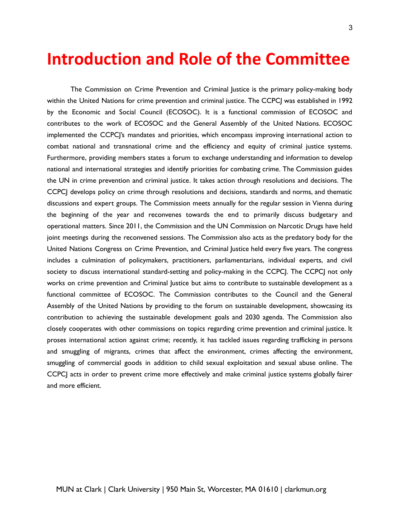### **Introduction and Role of the Committee**

The Commission on Crime Prevention and Criminal Justice is the primary policy-making body within the United Nations for crime prevention and criminal justice. The CCPCJ was established in 1992 by the Economic and Social Council (ECOSOC). It is a functional commission of ECOSOC and contributes to the work of ECOSOC and the General Assembly of the United Nations. ECOSOC implemented the CCPCJ's mandates and priorities, which encompass improving international action to combat national and transnational crime and the efficiency and equity of criminal justice systems. Furthermore, providing members states a forum to exchange understanding and information to develop national and international strategies and identify priorities for combating crime. The Commission guides the UN in crime prevention and criminal justice. It takes action through resolutions and decisions. The CCPCJ develops policy on crime through resolutions and decisions, standards and norms, and thematic discussions and expert groups. The Commission meets annually for the regular session in Vienna during the beginning of the year and reconvenes towards the end to primarily discuss budgetary and operational matters. Since 2011, the Commission and the UN Commission on Narcotic Drugs have held joint meetings during the reconvened sessions. The Commission also acts as the predatory body for the United Nations Congress on Crime Prevention, and Criminal Justice held every five years. The congress includes a culmination of policymakers, practitioners, parliamentarians, individual experts, and civil society to discuss international standard-setting and policy-making in the CCPCJ. The CCPCJ not only works on crime prevention and Criminal Justice but aims to contribute to sustainable development as a functional committee of ECOSOC. The Commission contributes to the Council and the General Assembly of the United Nations by providing to the forum on sustainable development, showcasing its contribution to achieving the sustainable development goals and 2030 agenda. The Commission also closely cooperates with other commissions on topics regarding crime prevention and criminal justice. It proses international action against crime; recently, it has tackled issues regarding trafficking in persons and smuggling of migrants, crimes that affect the environment, crimes affecting the environment, smuggling of commercial goods in addition to child sexual exploitation and sexual abuse online. The CCPCJ acts in order to prevent crime more effectively and make criminal justice systems globally fairer and more efficient.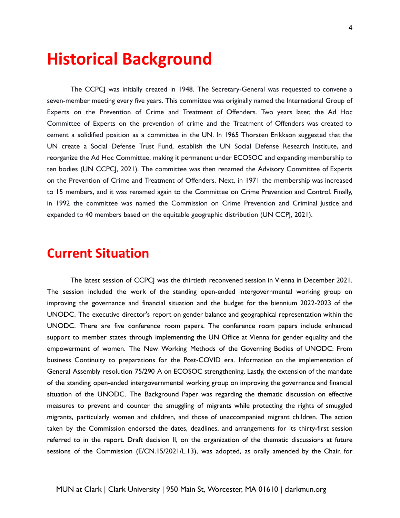### **Historical Background**

The CCPCJ was initially created in 1948. The Secretary-General was requested to convene a seven-member meeting every five years. This committee was originally named the International Group of Experts on the Prevention of Crime and Treatment of Offenders. Two years later, the Ad Hoc Committee of Experts on the prevention of crime and the Treatment of Offenders was created to cement a solidified position as a committee in the UN. In 1965 Thorsten Erikkson suggested that the UN create a Social Defense Trust Fund, establish the UN Social Defense Research Institute, and reorganize the Ad Hoc Committee, making it permanent under ECOSOC and expanding membership to ten bodies (UN CCPCJ, 2021). The committee was then renamed the Advisory Committee of Experts on the Prevention of Crime and Treatment of Offenders. Next, in 1971 the membership was increased to 15 members, and it was renamed again to the Committee on Crime Prevention and Control. Finally, in 1992 the committee was named the Commission on Crime Prevention and Criminal Justice and expanded to 40 members based on the equitable geographic distribution (UN CCP, 2021).

#### **Current Situation**

The latest session of CCPCJ was the thirtieth reconvened session in Vienna in December 2021. The session included the work of the standing open-ended intergovernmental working group on improving the governance and financial situation and the budget for the biennium 2022-2023 of the UNODC. The executive director's report on gender balance and geographical representation within the UNODC. There are five conference room papers. The conference room papers include enhanced support to member states through implementing the UN Office at Vienna for gender equality and the empowerment of women. The New Working Methods of the Governing Bodies of UNODC: From business Continuity to preparations for the Post-COVID era. Information on the implementation of General Assembly resolution 75/290 A on ECOSOC strengthening. Lastly, the extension of the mandate of the standing open-ended intergovernmental working group on improving the governance and financial situation of the UNODC. The Background Paper was regarding the thematic discussion on effective measures to prevent and counter the smuggling of migrants while protecting the rights of smuggled migrants, particularly women and children, and those of unaccompanied migrant children. The action taken by the Commission endorsed the dates, deadlines, and arrangements for its thirty-first session referred to in the report. Draft decision II, on the organization of the thematic discussions at future sessions of the Commission (E/CN.15/2021/L.13), was adopted, as orally amended by the Chair, for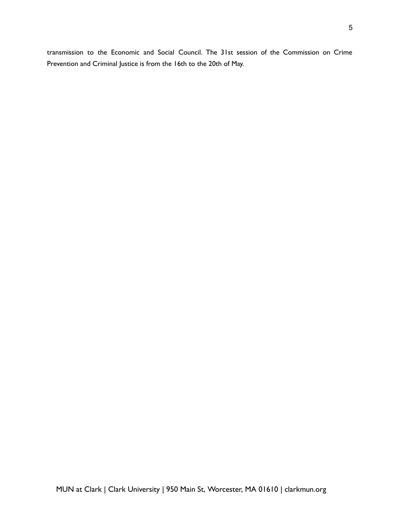transmission to the Economic and Social Council. The 31st session of the Commission on Crime Prevention and Criminal Justice is from the 16th to the 20th of May.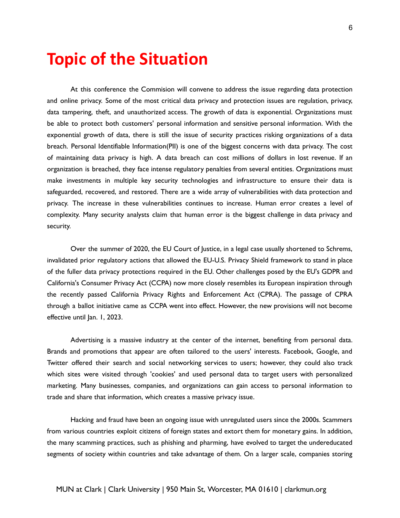## **Topic of the Situation**

At this conference the Commision will convene to address the issue regarding data protection and online privacy. Some of the most critical data privacy and protection issues are regulation, privacy, data tampering, theft, and unauthorized access. The growth of data is exponential. Organizations must be able to protect both customers' personal information and sensitive personal information. With the exponential growth of data, there is still the issue of security practices risking organizations of a data breach. Personal Identifiable Information(PII) is one of the biggest concerns with data privacy. The cost of maintaining data privacy is high. A data breach can cost millions of dollars in lost revenue. If an organization is breached, they face intense regulatory penalties from several entities. Organizations must make investments in multiple key security technologies and infrastructure to ensure their data is safeguarded, recovered, and restored. There are a wide array of vulnerabilities with data protection and privacy. The increase in these vulnerabilities continues to increase. Human error creates a level of complexity. Many security analysts claim that human error is the biggest challenge in data privacy and security.

Over the summer of 2020, the EU Court of Justice, in a legal case usually shortened to Schrems, invalidated prior regulatory actions that allowed the EU-U.S. Privacy Shield framework to stand in place of the fuller data privacy protections required in the EU. Other challenges posed by the EU's GDPR and California's Consumer Privacy Act (CCPA) now more closely resembles its European inspiration through the recently passed California Privacy Rights and Enforcement Act (CPRA). The passage of CPRA through a ballot initiative came as CCPA went into effect. However, the new provisions will not become effective until Jan. 1, 2023.

Advertising is a massive industry at the center of the internet, benefiting from personal data. Brands and promotions that appear are often tailored to the users' interests. Facebook, Google, and Twitter offered their search and social networking services to users; however, they could also track which sites were visited through 'cookies' and used personal data to target users with personalized marketing. Many businesses, companies, and organizations can gain access to personal information to trade and share that information, which creates a massive privacy issue.

Hacking and fraud have been an ongoing issue with unregulated users since the 2000s. Scammers from various countries exploit citizens of foreign states and extort them for monetary gains. In addition, the many scamming practices, such as phishing and pharming, have evolved to target the undereducated segments of society within countries and take advantage of them. On a larger scale, companies storing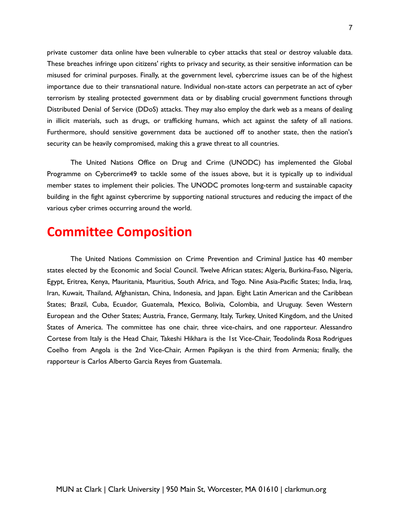private customer data online have been vulnerable to cyber attacks that steal or destroy valuable data. These breaches infringe upon citizens' rights to privacy and security, as their sensitive information can be misused for criminal purposes. Finally, at the government level, cybercrime issues can be of the highest importance due to their transnational nature. Individual non-state actors can perpetrate an act of cyber terrorism by stealing protected government data or by disabling crucial government functions through Distributed Denial of Service (DDoS) attacks. They may also employ the dark web as a means of dealing in illicit materials, such as drugs, or trafficking humans, which act against the safety of all nations. Furthermore, should sensitive government data be auctioned off to another state, then the nation's security can be heavily compromised, making this a grave threat to all countries.

The United Nations Office on Drug and Crime (UNODC) has implemented the Global Programme on Cybercrime49 to tackle some of the issues above, but it is typically up to individual member states to implement their policies. The UNODC promotes long-term and sustainable capacity building in the fight against cybercrime by supporting national structures and reducing the impact of the various cyber crimes occurring around the world.

#### **Committee Composition**

The United Nations Commission on Crime Prevention and Criminal Justice has 40 member states elected by the Economic and Social Council. Twelve African states; Algeria, Burkina-Faso, Nigeria, Egypt, Eritrea, Kenya, Mauritania, Mauritius, South Africa, and Togo. Nine Asia-Pacific States; India, Iraq, Iran, Kuwait, Thailand, Afghanistan, China, Indonesia, and Japan. Eight Latin American and the Caribbean States; Brazil, Cuba, Ecuador, Guatemala, Mexico, Bolivia, Colombia, and Uruguay. Seven Western European and the Other States; Austria, France, Germany, Italy, Turkey, United Kingdom, and the United States of America. The committee has one chair, three vice-chairs, and one rapporteur. Alessandro Cortese from Italy is the Head Chair, Takeshi Hikhara is the 1st Vice-Chair, Teodolinda Rosa Rodrigues Coelho from Angola is the 2nd Vice-Chair, Armen Papikyan is the third from Armenia; finally, the rapporteur is Carlos Alberto Garcia Reyes from Guatemala.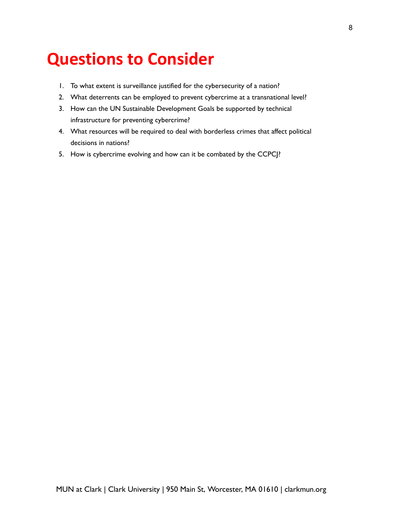# **Questions to Consider**

- 1. To what extent is surveillance justified for the cybersecurity of a nation?
- 2. What deterrents can be employed to prevent cybercrime at a transnational level?
- 3. How can the UN Sustainable Development Goals be supported by technical infrastructure for preventing cybercrime?
- 4. What resources will be required to deal with borderless crimes that affect political decisions in nations?
- 5. How is cybercrime evolving and how can it be combated by the CCPCJ?